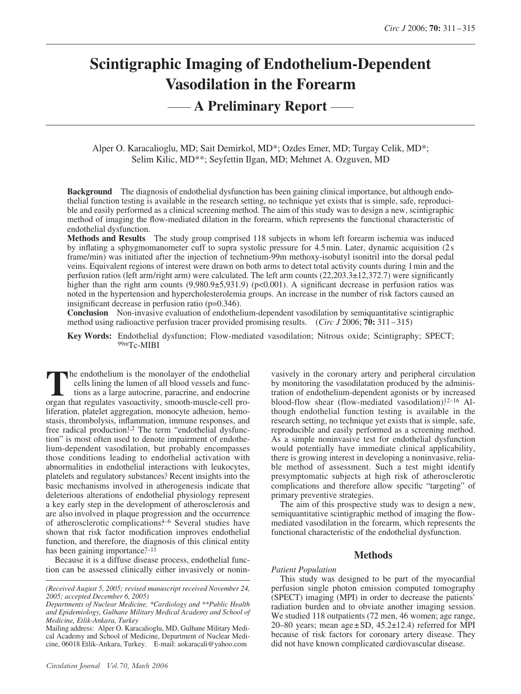# **Scintigraphic Imaging of Endothelium-Dependent Vasodilation in the Forearm**

# **A Preliminary Report**

Alper O. Karacalioglu, MD; Sait Demirkol, MD\*; Ozdes Emer, MD; Turgay Celik, MD\*; Selim Kilic, MD\*\*; Seyfettin Ilgan, MD; Mehmet A. Ozguven, MD

**Background** The diagnosis of endothelial dysfunction has been gaining clinical importance, but although endothelial function testing is available in the research setting, no technique yet exists that is simple, safe, reproducible and easily performed as a clinical screening method. The aim of this study was to design a new, scintigraphic method of imaging the flow-mediated dilation in the forearm, which represents the functional characteristic of endothelial dysfunction.

**Methods and Results** The study group comprised 118 subjects in whom left forearm ischemia was induced by inflating a sphygmomanometer cuff to supra systolic pressure for 4.5 min. Later, dynamic acquisition (2 s frame/min) was initiated after the injection of technetium-99m methoxy-isobutyl isonitril into the dorsal pedal veins. Equivalent regions of interest were drawn on both arms to detect total activity counts during 1 min and the perfusion ratios (left arm/right arm) were calculated. The left arm counts (22,203.3±12,372.7) were significantly higher than the right arm counts  $(9,980.9\pm 5,931.9)$  (p<0.001). A significant decrease in perfusion ratios was noted in the hypertension and hypercholesterolemia groups. An increase in the number of risk factors caused an insignificant decrease in perfusion ratio (p=0.346).

**Conclusion** Non-invasive evaluation of endothelium-dependent vasodilation by semiquantitative scintigraphic method using radioactive perfusion tracer provided promising results. (*Circ J* 2006; **70:** 311 – 315)

**Key Words:** Endothelial dysfunction; Flow-mediated vasodilation; Nitrous oxide; Scintigraphy; SPECT; 99mTc-MIBI

he endothelium is the monolayer of the endothelial cells lining the lumen of all blood vessels and functions as a large autocrine, paracrine, and endocrine The endothelium is the monolayer of the endothelial<br>cells lining the lumen of all blood vessels and func-<br>tions as a large autocrine, paracrine, and endocrine<br>organ that regulates vasoactivity, smooth-muscle-cell proliferation, platelet aggregation, monocyte adhesion, hemostasis, thrombolysis, inflammation, immune responses, and free radical production<sup>1,2</sup> The term "endothelial dysfunction" is most often used to denote impairment of endothelium-dependent vasodilation, but probably encompasses those conditions leading to endothelial activation with abnormalities in endothelial interactions with leukocytes, platelets and regulatory substances.3 Recent insights into the basic mechanisms involved in atherogenesis indicate that deleterious alterations of endothelial physiology represent a key early step in the development of atherosclerosis and are also involved in plaque progression and the occurrence of atherosclerotic complications.<sup>4–6</sup> Several studies have shown that risk factor modification improves endothelial function, and therefore, the diagnosis of this clinical entity has been gaining importance? $-11$ 

Because it is a diffuse disease process, endothelial function can be assessed clinically either invasively or nonin-

vasively in the coronary artery and peripheral circulation by monitoring the vasodilatation produced by the administration of endothelium-dependent agonists or by increased blood-flow shear (flow-mediated vasodilation). $12-16$  Although endothelial function testing is available in the research setting, no technique yet exists that is simple, safe, reproducible and easily performed as a screening method. As a simple noninvasive test for endothelial dysfunction would potentially have immediate clinical applicability, there is growing interest in developing a noninvasive, reliable method of assessment. Such a test might identify presymptomatic subjects at high risk of atherosclerotic complications and therefore allow specific "targeting" of primary preventive strategies.

The aim of this prospective study was to design a new, semiquantitative scintigraphic method of imaging the flowmediated vasodilation in the forearm, which represents the functional characteristic of the endothelial dysfunction.

# **Methods**

# *Patient Population*

This study was designed to be part of the myocardial perfusion single photon emission computed tomography (SPECT) imaging (MPI) in order to decrease the patients' radiation burden and to obviate another imaging session. We studied 118 outpatients (72 men, 46 women; age range, 20–80 years; mean age $\pm$ SD, 45.2 $\pm$ 12.4) referred for MPI because of risk factors for coronary artery disease. They did not have known complicated cardiovascular disease.

*<sup>(</sup>Received August 5, 2005; revised manuscript received November 24, 2005; accepted December 6, 2005)*

*Departments of Nuclear Medicine, \*Cardiology and \*\*Public Health and Epidemiology, Gulhane Military Medical Academy and School of Medicine, Etlik-Ankara, Turkey*

Mailing address: Alper O. Karacalioglu, MD, Gulhane Military Medical Academy and School of Medicine, Department of Nuclear Medicine, 06018 Etlik-Ankara, Turkey. E-mail: aokaracali@yahoo.com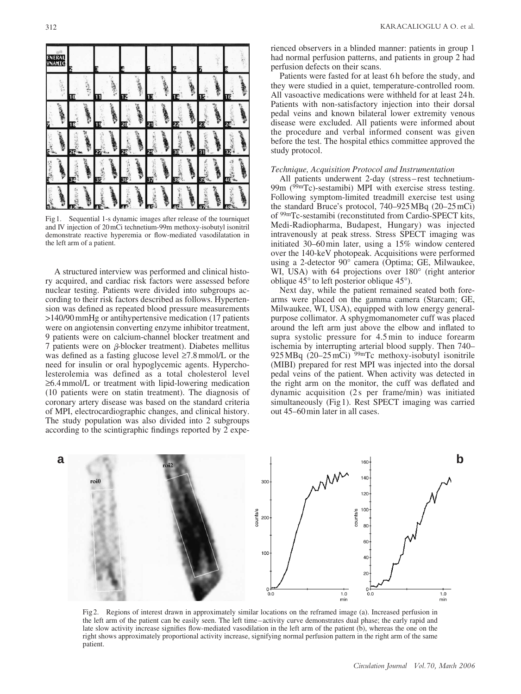

Fig 1. Sequential 1-s dynamic images after release of the tourniquet and IV injection of 20mCi technetium-99m methoxy-isobutyl isonitril demonstrate reactive hyperemia or flow-mediated vasodilatation in the left arm of a patient.

A structured interview was performed and clinical history acquired, and cardiac risk factors were assessed before nuclear testing. Patients were divided into subgroups according to their risk factors described as follows. Hypertension was defined as repeated blood pressure measurements >140/90 mmHg or antihypertensive medication (17 patients were on angiotensin converting enzyme inhibitor treatment, 9 patients were on calcium-channel blocker treatment and 7 patients were on  $\beta$ -blocker treatment). Diabetes mellitus was defined as a fasting glucose level ≥7.8 mmol/L or the need for insulin or oral hypoglycemic agents. Hypercholesterolemia was defined as a total cholesterol level ≥6.4 mmol/L or treatment with lipid-lowering medication (10 patients were on statin treatment). The diagnosis of coronary artery disease was based on the standard criteria of MPI, electrocardiographic changes, and clinical history. The study population was also divided into 2 subgroups according to the scintigraphic findings reported by 2 experienced observers in a blinded manner: patients in group 1 had normal perfusion patterns, and patients in group 2 had perfusion defects on their scans.

Patients were fasted for at least 6h before the study, and they were studied in a quiet, temperature-controlled room. All vasoactive medications were withheld for at least 24 h. Patients with non-satisfactory injection into their dorsal pedal veins and known bilateral lower extremity venous disease were excluded. All patients were informed about the procedure and verbal informed consent was given before the test. The hospital ethics committee approved the study protocol.

### *Technique, Acquisition Protocol and Instrumentation*

All patients underwent 2-day (stress – rest technetium-99m (99mTc)-sestamibi) MPI with exercise stress testing. Following symptom-limited treadmill exercise test using the standard Bruce's protocol, 740–925 MBq (20–25 mCi) of 99mTc-sestamibi (reconstituted from Cardio-SPECT kits, Medi-Radiopharma, Budapest, Hungary) was injected intravenously at peak stress. Stress SPECT imaging was initiated 30–60 min later, using a 15% window centered over the 140-keV photopeak. Acquisitions were performed using a 2-detector 90° camera (Optima; GE, Milwaukee, WI, USA) with 64 projections over 180° (right anterior oblique 45° to left posterior oblique 45°).

Next day, while the patient remained seated both forearms were placed on the gamma camera (Starcam; GE, Milwaukee, WI, USA), equipped with low energy generalpurpose collimator. A sphygmomanometer cuff was placed around the left arm just above the elbow and inflated to supra systolic pressure for 4.5 min to induce forearm ischemia by interrupting arterial blood supply. Then 740– 925 MBq  $(20-25 \text{ mCi})$  99mTc methoxy-isobutyl isonitrile (MIBI) prepared for rest MPI was injected into the dorsal pedal veins of the patient. When activity was detected in the right arm on the monitor, the cuff was deflated and dynamic acquisition (2 s per frame/min) was initiated simultaneously (Fig 1). Rest SPECT imaging was carried out 45–60 min later in all cases.



Fig 2. Regions of interest drawn in approximately similar locations on the reframed image (a). Increased perfusion in the left arm of the patient can be easily seen. The left time –activity curve demonstrates dual phase; the early rapid and late slow activity increase signifies flow-mediated vasodilation in the left arm of the patient (b), whereas the one on the right shows approximately proportional activity increase, signifying normal perfusion pattern in the right arm of the same patient.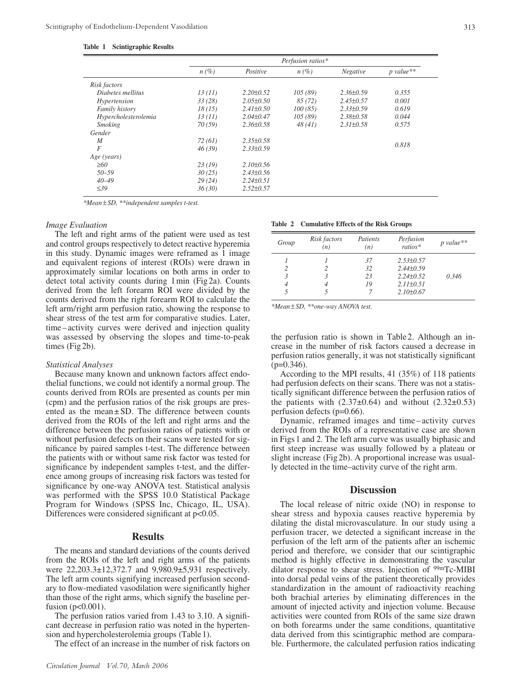**Table 1 Scintigraphic Results**

|                      | Perfusion ratios* |                 |         |                 |             |  |
|----------------------|-------------------|-----------------|---------|-----------------|-------------|--|
|                      | $n(\%)$           | Positive        | $n(\%)$ | Negative        | $p$ value** |  |
| Risk factors         |                   |                 |         |                 |             |  |
| Diabetes mellitus    | 13(11)            | $2.20 \pm 0.52$ | 105(89) | $2.36\pm0.59$   | 0.355       |  |
| Hypertension         | 33(28)            | $2.05 \pm 0.50$ | 85(72)  | $2.45 \pm 0.57$ | 0.001       |  |
| Family history       | 18(15)            | $2.41 \pm 0.50$ | 100(85) | $2.33\pm0.59$   | 0.619       |  |
| Hypercholesterolemia | 13(11)            | $2.04 \pm 0.47$ | 105(89) | $2.38 \pm 0.58$ | 0.044       |  |
| <b>Smoking</b>       | 70(59)            | $2.36 \pm 0.58$ | 48(41)  | $2.31 \pm 0.58$ | 0.575       |  |
| Gender               |                   |                 |         |                 |             |  |
| M                    | 72(61)            | $2.35 \pm 0.58$ |         |                 |             |  |
| $\overline{F}$       | 46(39)            | $2.33 \pm 0.59$ |         |                 | 0.818       |  |
| Age (years)          |                   |                 |         |                 |             |  |
| $\geq 60$            | 23(19)            | $2.10\pm0.56$   |         |                 |             |  |
| $50 - 59$            | 30(25)            | $2.43\pm0.56$   |         |                 |             |  |
| $40 - 49$            | 29(24)            | $2.24 \pm 0.51$ |         |                 |             |  |
| $\leq 39$            | 36(30)            | $2.52 \pm 0.57$ |         |                 |             |  |

*\*Mean* ± *SD, \*\*independent samples t-test.*

#### *Image Evaluation*

The left and right arms of the patient were used as test and control groups respectively to detect reactive hyperemia in this study. Dynamic images were reframed as 1 image and equivalent regions of interest (ROIs) were drawn in approximately similar locations on both arms in order to detect total activity counts during 1 min (Fig 2a). Counts derived from the left forearm ROI were divided by the counts derived from the right forearm ROI to calculate the left arm/right arm perfusion ratio, showing the response to shear stress of the test arm for comparative studies. Later, time – activity curves were derived and injection quality was assessed by observing the slopes and time-to-peak times (Fig 2b).

#### *Statistical Analyses*

Because many known and unknown factors affect endothelial functions, we could not identify a normal group. The counts derived from ROIs are presented as counts per min (cpm) and the perfusion ratios of the risk groups are presented as the mean $\pm$  SD. The difference between counts derived from the ROIs of the left and right arms and the difference between the perfusion ratios of patients with or without perfusion defects on their scans were tested for significance by paired samples t-test. The difference between the patients with or without same risk factor was tested for significance by independent samples t-test, and the difference among groups of increasing risk factors was tested for significance by one-way ANOVA test. Statistical analysis was performed with the SPSS 10.0 Statistical Package Program for Windows (SPSS Inc, Chicago, IL, USA). Differences were considered significant at  $p<0.05$ .

#### **Results**

The means and standard deviations of the counts derived from the ROIs of the left and right arms of the patients were 22,203.3±12,372.7 and 9,980.9±5,931 respectively. The left arm counts signifying increased perfusion secondary to flow-mediated vasodilation were significantly higher than those of the right arms, which signify the baseline perfusion ( $p<0.001$ ).

The perfusion ratios varied from 1.43 to 3.10. A significant decrease in perfusion ratio was noted in the hypertension and hypercholesterolemia groups (Table 1).

The effect of an increase in the number of risk factors on

# **Table 2 Cumulative Effects of the Risk Groups**

| Group | Risk factors<br>(n) | Patients<br>(n) | Perfusion<br>$ratios*$ | $p$ value** |
|-------|---------------------|-----------------|------------------------|-------------|
|       |                     | 37              | $2.53 \pm 0.57$        |             |
|       |                     | 32              | $2.44\pm0.59$          |             |
|       | 3                   | 23              | $2.24 \pm 0.52$        | 0.346       |
| 4     | 4                   | 19              | $2.11 \pm 0.51$        |             |
|       |                     |                 | $2.10\pm0.67$          |             |

*\*Mean* ± *SD, \*\*one-way ANOVA test.*

the perfusion ratio is shown in Table 2. Although an increase in the number of risk factors caused a decrease in perfusion ratios generally, it was not statistically significant  $(p=0.346)$ .

According to the MPI results, 41 (35%) of 118 patients had perfusion defects on their scans. There was not a statistically significant difference between the perfusion ratios of the patients with  $(2.37\pm0.64)$  and without  $(2.32\pm0.53)$ perfusion defects (p=0.66).

Dynamic, reframed images and time – activity curves derived from the ROIs of a representative case are shown in Figs 1 and 2. The left arm curve was usually biphasic and first steep increase was usually followed by a plateau or slight increase (Fig 2b). A proportional increase was usually detected in the time–activity curve of the right arm.

# **Discussion**

The local release of nitric oxide (NO) in response to shear stress and hypoxia causes reactive hyperemia by dilating the distal microvasculature. In our study using a perfusion tracer, we detected a significant increase in the perfusion of the left arm of the patients after an ischemic period and therefore, we consider that our scintigraphic method is highly effective in demonstrating the vascular dilator response to shear stress. Injection of <sup>99m</sup>Tc-MIBI into dorsal pedal veins of the patient theoretically provides standardization in the amount of radioactivity reaching both brachial arteries by eliminating differences in the amount of injected activity and injection volume. Because activities were counted from ROIs of the same size drawn on both forearms under the same conditions, quantitative data derived from this scintigraphic method are comparable. Furthermore, the calculated perfusion ratios indicating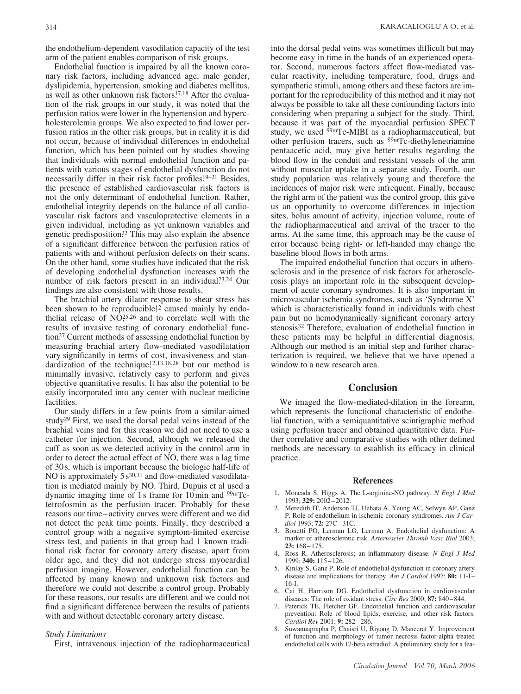the endothelium-dependent vasodilation capacity of the test arm of the patient enables comparison of risk groups.

Endothelial function is impaired by all the known coronary risk factors, including advanced age, male gender, dyslipidemia, hypertension, smoking and diabetes mellitus, as well as other unknown risk factors.<sup>17,18</sup> After the evaluation of the risk groups in our study, it was noted that the perfusion ratios were lower in the hypertension and hypercholesterolemia groups. We also expected to find lower perfusion ratios in the other risk groups, but in reality it is did not occur, because of individual differences in endothelial function, which has been pointed out by studies showing that individuals with normal endothelial function and patients with various stages of endothelial dysfunction do not necessarily differ in their risk factor profiles.<sup>19-21</sup> Besides, the presence of established cardiovascular risk factors is not the only determinant of endothelial function. Rather, endothelial integrity depends on the balance of all cardiovascular risk factors and vasculoprotective elements in a given individual, including as yet unknown variables and genetic predisposition.22 This may also explain the absence of a significant difference between the perfusion ratios of patients with and without perfusion defects on their scans. On the other hand, some studies have indicated that the risk of developing endothelial dysfunction increases with the number of risk factors present in an individual?<sup>3,24</sup> Our findings are also consistent with those results.

The brachial artery dilator response to shear stress has been shown to be reproducible,<sup>12</sup> caused mainly by endothelial release of  $N\tilde{O}^{25,26}$  and to correlate well with the results of invasive testing of coronary endothelial function.27 Current methods of assessing endothelial function by measuring brachial artery flow-mediated vasodilatation vary significantly in terms of cost, invasiveness and standardization of the technique, $12,13,18,28$  but our method is minimally invasive, relatively easy to perform and gives objective quantitative results. It has also the potential to be easily incorporated into any center with nuclear medicine facilities.

Our study differs in a few points from a similar-aimed study.<sup>29</sup> First, we used the dorsal pedal veins instead of the brachial veins and for this reason we did not need to use a catheter for injection. Second, although we released the cuff as soon as we detected activity in the control arm in order to detect the actual effect of NO, there was a lag time of 30 s, which is important because the biologic half-life of NO is approximately  $5 s^{30,31}$  and flow-mediated vasodilatation is mediated mainly by NO. Third, Dupuis et al used a dynamic imaging time of 1 s frame for 10 min and  $99mTc$ tetrofosmin as the perfusion tracer. Probably for these reasons our time – activity curves were different and we did not detect the peak time points. Finally, they described a control group with a negative symptom-limited exercise stress test, and patients in that group had 1 known traditional risk factor for coronary artery disease, apart from older age, and they did not undergo stress myocardial perfusion imaging. However, endothelial function can be affected by many known and unknown risk factors and therefore we could not describe a control group. Probably for these reasons, our results are different and we could not find a significant difference between the results of patients with and without detectable coronary artery disease.

#### *Study Limitations*

First, intravenous injection of the radiopharmaceutical

into the dorsal pedal veins was sometimes difficult but may become easy in time in the hands of an experienced operator. Second, numerous factors affect flow-mediated vascular reactivity, including temperature, food, drugs and sympathetic stimuli, among others and these factors are important for the reproducibility of this method and it may not always be possible to take all these confounding factors into considering when preparing a subject for the study. Third, because it was part of the myocardial perfusion SPECT study, we used 99mTc-MIBI as a radiopharmaceutical, but other perfusion tracers, such as 99mTc-diethylenetriamine pentaacetic acid, may give better results regarding the blood flow in the conduit and resistant vessels of the arm without muscular uptake in a separate study. Fourth, our study population was relatively young and therefore the incidences of major risk were infrequent. Finally, because the right arm of the patient was the control group, this gave us an opportunity to overcome differences in injection sites, bolus amount of activity, injection volume, route of the radiopharmaceutical and arrival of the tracer to the arms. At the same time, this approach may be the cause of error because being right- or left-handed may change the baseline blood flows in both arms.

The impaired endothelial function that occurs in atherosclerosis and in the presence of risk factors for atherosclerosis plays an important role in the subsequent development of acute coronary syndromes. It is also important in microvascular ischemia syndromes, such as 'Syndrome X' which is characteristically found in individuals with chest pain but no hemodynamically significant coronary artery stenosis<sup>32</sup> Therefore, evaluation of endothelial function in these patients may be helpful in differential diagnosis. Although our method is an initial step and further characterization is required, we believe that we have opened a window to a new research area.

# **Conclusion**

We imaged the flow-mediated-dilation in the forearm, which represents the functional characteristic of endothelial function, with a semiquantitative scintigraphic method using perfusion tracer and obtained quantitative data. Further correlative and comparative studies with other defined methods are necessary to establish its efficacy in clinical practice.

#### **References**

- 1. Moncada S, Higgs A. The L-arginine-NO pathway. *N Engl J Med* 1993; **329:** 2002 – 2012.
- 2. Meredith IT, Anderson TJ, Uehata A, Yeung AC, Selwyn AP, Ganz P. Role of endothelium in ischemic coronary syndromes. *Am J Cardiol* 1993; **72:** 27C – 31C.
- 3. Bonetti PO, Lerman LO, Lerman A. Endothelial dysfunction: A marker of atherosclerotic risk. *Arterioscler Thromb Vasc Biol* 2003; **23:** 168 – 175.
- 4. Ross R. Atherosclerosis; an inflammatory disease. *N Engl J Med* 1999; **340:** 115 – 126.
- 5. Kinlay S, Ganz P. Role of endothelial dysfunction in coronary artery disease and implications for therapy. *Am J Cardiol* 1997; **80:** 11-I-16-I.
- 6. Cai H, Harrison DG. Endothelial dysfunction in cardiovascular diseases: The role of oxidant stress. *Circ Res* 2000; **87:** 840 – 844.
- 7. Paterick TE, Fletcher GF. Endothelial function and cardiovascular prevention: Role of blood lipids, exercise, and other risk factors. *Cardiol Rev* 2001; **9:** 282 – 286.
- 8. Suwannaprapha P, Chaisri U, Riyong D, Maneerat Y. Improvement of function and morphology of tumor necrosis factor-alpha treated endothelial cells with 17-beta estradiol: A preliminary study for a fea-